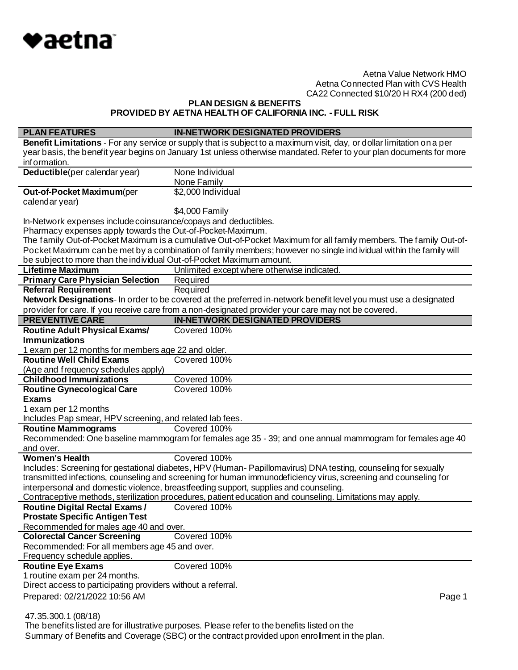

**PLAN DESIGN & BENEFITS**

**PROVIDED BY AETNA HEALTH OF CALIFORNIA INC. - FULL RISK**

| <b>PLAN FEATURES</b>                                                 | <b>IN-NETWORK DESIGNATED PROVIDERS</b>                                                                                 |
|----------------------------------------------------------------------|------------------------------------------------------------------------------------------------------------------------|
|                                                                      | Benefit Limitations - For any service or supply that is subject to a maximum visit, day, or dollar limitation on a per |
|                                                                      | year basis, the benefit year begins on January 1st unless otherwise mandated. Refer to your plan documents for more    |
| information.                                                         |                                                                                                                        |
| Deductible(per calendar year)                                        | None Individual                                                                                                        |
|                                                                      | None Family                                                                                                            |
| Out-of-Pocket Maximum(per                                            | \$2,000 Individual                                                                                                     |
| calendar year)                                                       |                                                                                                                        |
|                                                                      | \$4,000 Family                                                                                                         |
| In-Network expenses include coinsurance/copays and deductibles.      |                                                                                                                        |
| Pharmacy expenses apply towards the Out-of-Pocket-Maximum.           |                                                                                                                        |
|                                                                      | The family Out-of-Pocket Maximum is a cumulative Out-of-Pocket Maximum for all family members. The family Out-of-      |
|                                                                      | Pocket Maximum can be met by a combination of family members; however no single ind ividual within the family will     |
| be subject to more than the individual Out-of-Pocket Maximum amount. |                                                                                                                        |
| <b>Lifetime Maximum</b>                                              | Unlimited except where otherwise indicated.                                                                            |
| <b>Primary Care Physician Selection</b>                              | Required                                                                                                               |
| <b>Referral Requirement</b>                                          | Required                                                                                                               |
|                                                                      | Network Designations- In order to be covered at the preferred in-network benefit level you must use a designated       |
|                                                                      | provider for care. If you receive care from a non-designated provider your care may not be covered.                    |
| <b>PREVENTIVE CARE</b>                                               | <b>IN-NETWORK DESIGNATED PROVIDERS</b>                                                                                 |
| <b>Routine Adult Physical Exams/</b>                                 | Covered 100%                                                                                                           |
| <b>Immunizations</b>                                                 |                                                                                                                        |
| 1 exam per 12 months for members age 22 and older.                   |                                                                                                                        |
| <b>Routine Well Child Exams</b>                                      | Covered 100%                                                                                                           |
| (Age and frequency schedules apply)                                  |                                                                                                                        |
| <b>Childhood Immunizations</b>                                       | Covered 100%                                                                                                           |
| <b>Routine Gynecological Care</b>                                    | Covered 100%                                                                                                           |
| <b>Exams</b>                                                         |                                                                                                                        |
| 1 exam per 12 months                                                 |                                                                                                                        |
| Includes Pap smear, HPV screening, and related lab fees.             |                                                                                                                        |
| <b>Routine Mammograms</b>                                            | Covered 100%                                                                                                           |
|                                                                      | Recommended: One baseline mammogram for females age 35 - 39; and one annual mammogram for females age 40               |
| and over.                                                            |                                                                                                                        |
| <b>Women's Health</b>                                                | Covered 100%                                                                                                           |
|                                                                      | Includes: Screening for gestational diabetes, HPV (Human-Papillomavirus) DNA testing, counseling for sexually          |
|                                                                      | transmitted infections, counseling and screening for human immunodeficiency virus, screening and counseling for        |
|                                                                      | interpersonal and domestic violence, breastfeeding support, supplies and counseling.                                   |
|                                                                      | Contraceptive methods, sterilization procedures, patient education and counseling. Limitations may apply.              |
| <b>Routine Digital Rectal Exams/</b>                                 | Covered 100%                                                                                                           |
| <b>Prostate Specific Antigen Test</b>                                |                                                                                                                        |
| Recommended for males age 40 and over.                               |                                                                                                                        |
| <b>Colorectal Cancer Screening</b>                                   | Covered 100%                                                                                                           |
| Recommended: For all members age 45 and over.                        |                                                                                                                        |
| Frequency schedule applies.                                          |                                                                                                                        |
| <b>Routine Eye Exams</b>                                             | Covered 100%                                                                                                           |
| 1 routine exam per 24 months.                                        |                                                                                                                        |
| Direct access to participating providers without a referral.         |                                                                                                                        |
| Prepared: 02/21/2022 10:56 AM                                        | Page 1                                                                                                                 |
|                                                                      |                                                                                                                        |
| 47.35.300.1 (08/18)                                                  |                                                                                                                        |

 The benefits listed are for illustrative purposes. Please refer to the benefits listed on the Summary of Benefits and Coverage (SBC) or the contract provided upon enrollment in the plan.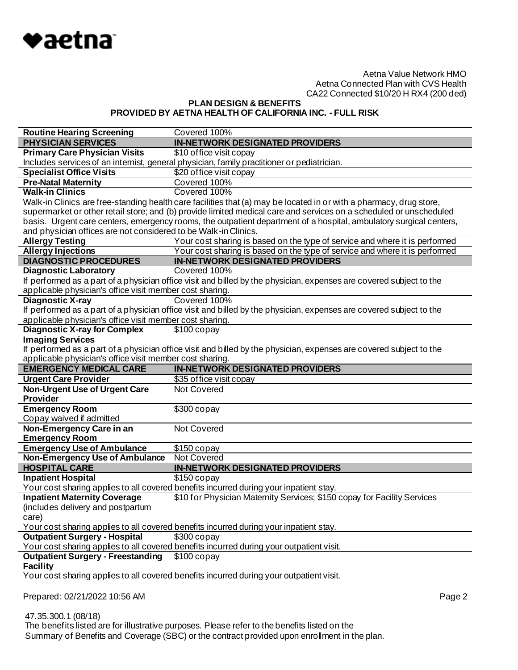

**PLAN DESIGN & BENEFITS PROVIDED BY AETNA HEALTH OF CALIFORNIA INC. - FULL RISK**

| <b>Routine Hearing Screening</b>                                | Covered 100%                                                                                                        |
|-----------------------------------------------------------------|---------------------------------------------------------------------------------------------------------------------|
| <b>PHYSICIAN SERVICES</b>                                       | <b>IN-NETWORK DESIGNATED PROVIDERS</b>                                                                              |
| <b>Primary Care Physician Visits</b>                            | \$10 office visit copay                                                                                             |
|                                                                 | Includes services of an internist, general physician, family practitioner or pediatrician.                          |
| <b>Specialist Office Visits</b>                                 | \$20 office visit copay                                                                                             |
| <b>Pre-Natal Maternity</b>                                      | Covered 100%                                                                                                        |
| <b>Walk-in Clinics</b>                                          | Covered 100%                                                                                                        |
|                                                                 | Walk-in Clinics are free-standing health care facilities that (a) may be located in or with a pharmacy, drug store, |
|                                                                 | supermarket or other retail store; and (b) provide limited medical care and services on a scheduled or unscheduled  |
|                                                                 | basis. Urgent care centers, emergency rooms, the outpatient department of a hospital, ambulatory surgical centers,  |
| and physician offices are not considered to be Walk-in Clinics. |                                                                                                                     |
| <b>Allergy Testing</b>                                          | Your cost sharing is based on the type of service and where it is performed                                         |
| <b>Allergy Injections</b>                                       | Your cost sharing is based on the type of service and where it is performed                                         |
| <b>DIAGNOSTIC PROCEDURES</b>                                    | <b>IN-NETWORK DESIGNATED PROVIDERS</b>                                                                              |
| <b>Diagnostic Laboratory</b>                                    | Covered 100%                                                                                                        |
|                                                                 | If performed as a part of a physician office visit and billed by the physician, expenses are covered subject to the |
| applicable physician's office visit member cost sharing.        |                                                                                                                     |
| <b>Diagnostic X-ray</b>                                         | Covered 100%                                                                                                        |
|                                                                 | If performed as a part of a physician office visit and billed by the physician, expenses are covered subject to the |
| applicable physician's office visit member cost sharing.        |                                                                                                                     |
| <b>Diagnostic X-ray for Complex</b>                             | $$100$ copay                                                                                                        |
| <b>Imaging Services</b>                                         |                                                                                                                     |
|                                                                 | If performed as a part of a physician office visit and billed by the physician, expenses are covered subject to the |
| applicable physician's office visit member cost sharing.        |                                                                                                                     |
|                                                                 |                                                                                                                     |
| <b>EMERGENCY MEDICAL CARE</b>                                   | <b>IN-NETWORK DESIGNATED PROVIDERS</b>                                                                              |
| <b>Urgent Care Provider</b>                                     | \$35 office visit copay                                                                                             |
| <b>Non-Urgent Use of Urgent Care</b>                            | Not Covered                                                                                                         |
| <b>Provider</b>                                                 |                                                                                                                     |
| <b>Emergency Room</b>                                           | $$300$ copay                                                                                                        |
| Copay waived if admitted                                        |                                                                                                                     |
| Non-Emergency Care in an                                        | Not Covered                                                                                                         |
| <b>Emergency Room</b>                                           |                                                                                                                     |
| <b>Emergency Use of Ambulance</b>                               | \$150 copay                                                                                                         |
| Non-Emergency Use of Ambulance                                  | <b>Not Covered</b>                                                                                                  |
| <b>HOSPITAL CARE</b>                                            | <b>IN-NETWORK DESIGNATED PROVIDERS</b>                                                                              |
| <b>Inpatient Hospital</b>                                       | $$150$ copay                                                                                                        |
|                                                                 | Your cost sharing applies to all covered benefits incurred during your inpatient stay.                              |
| <b>Inpatient Maternity Coverage</b>                             | \$10 for Physician Maternity Services; \$150 copay for Facility Services                                            |
| includes delivery and postpartum                                |                                                                                                                     |
| care)                                                           |                                                                                                                     |
|                                                                 | Your cost sharing applies to all covered benefits incurred during your inpatient stay.                              |
| <b>Outpatient Surgery - Hospital</b>                            | $$300$ copay                                                                                                        |
|                                                                 | Your cost sharing applies to all covered benefits incurred during your outpatient visit.                            |
| <b>Outpatient Surgery - Freestanding</b>                        | $$100$ copay                                                                                                        |
| <b>Facility</b>                                                 |                                                                                                                     |
|                                                                 | Your cost sharing applies to all covered benefits incurred during your outpatient visit.                            |
|                                                                 |                                                                                                                     |
| Prepared: 02/21/2022 10:56 AM                                   | Page 2                                                                                                              |

47.35.300.1 (08/18)

The benefits listed are for illustrative purposes. Please refer to the benefits listed on the

Summary of Benefits and Coverage (SBC) or the contract provided upon enrollment in the plan.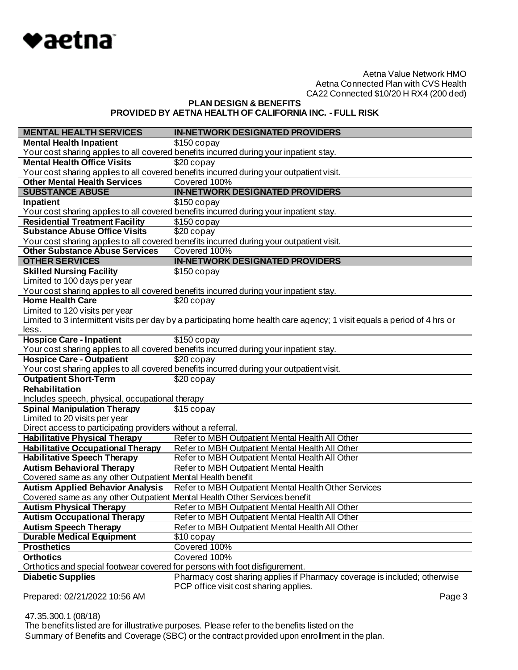

**PLAN DESIGN & BENEFITS PROVIDED BY AETNA HEALTH OF CALIFORNIA INC. - FULL RISK**

| <b>MENTAL HEALTH SERVICES</b>                                                                   | <b>IN-NETWORK DESIGNATED PROVIDERS</b>                                                                                   |
|-------------------------------------------------------------------------------------------------|--------------------------------------------------------------------------------------------------------------------------|
| <b>Mental Health Inpatient</b>                                                                  | $$150$ copay                                                                                                             |
|                                                                                                 | Your cost sharing applies to all covered benefits incurred during your inpatient stay.                                   |
| <b>Mental Health Office Visits</b>                                                              | \$20 copay                                                                                                               |
|                                                                                                 | Your cost sharing applies to all covered benefits incurred during your outpatient visit.                                 |
| <b>Other Mental Health Services</b>                                                             | Covered 100%                                                                                                             |
| <b>SUBSTANCE ABUSE</b>                                                                          | <b>IN-NETWORK DESIGNATED PROVIDERS</b>                                                                                   |
| Inpatient                                                                                       | $$150$ copay                                                                                                             |
|                                                                                                 | Your cost sharing applies to all covered benefits incurred during your inpatient stay.                                   |
| <b>Residential Treatment Facility</b>                                                           | $$150$ copay                                                                                                             |
| <b>Substance Abuse Office Visits</b>                                                            | \$20 copay                                                                                                               |
|                                                                                                 | Your cost sharing applies to all covered benefits incurred during your outpatient visit.                                 |
| <b>Other Substance Abuse Services</b>                                                           | Covered 100%                                                                                                             |
| <b>OTHER SERVICES</b>                                                                           | <b>IN-NETWORK DESIGNATED PROVIDERS</b>                                                                                   |
| <b>Skilled Nursing Facility</b>                                                                 | $$150$ copay                                                                                                             |
| Limited to 100 days per year                                                                    |                                                                                                                          |
|                                                                                                 | Your cost sharing applies to all covered benefits incurred during your inpatient stay.                                   |
| <b>Home Health Care</b>                                                                         | \$20 copay                                                                                                               |
| Limited to 120 visits per year                                                                  |                                                                                                                          |
|                                                                                                 | Limited to 3 intermittent visits per day by a participating home health care agency; 1 visit equals a period of 4 hrs or |
| less.                                                                                           |                                                                                                                          |
| <b>Hospice Care - Inpatient</b>                                                                 | $$150$ copay                                                                                                             |
|                                                                                                 | Your cost sharing applies to all covered benefits incurred during your inpatient stay.                                   |
| <b>Hospice Care - Outpatient</b>                                                                | $$20$ copay                                                                                                              |
|                                                                                                 | Your cost sharing applies to all covered benefits incurred during your outpatient visit.                                 |
| <b>Outpatient Short-Term</b><br><b>Rehabilitation</b>                                           | \$20 copay                                                                                                               |
|                                                                                                 |                                                                                                                          |
| Includes speech, physical, occupational therapy                                                 |                                                                                                                          |
| <b>Spinal Manipulation Therapy</b><br>Limited to 20 visits per year                             | \$15 copay                                                                                                               |
| Direct access to participating providers without a referral.                                    |                                                                                                                          |
| <b>Habilitative Physical Therapy</b>                                                            | Refer to MBH Outpatient Mental Health All Other                                                                          |
| <b>Habilitative Occupational Therapy</b>                                                        | Refer to MBH Outpatient Mental Health All Other                                                                          |
|                                                                                                 |                                                                                                                          |
| <b>Habilitative Speech Therapy</b><br><b>Autism Behavioral Therapy</b>                          | Refer to MBH Outpatient Mental Health All Other                                                                          |
| Covered same as any other Outpatient Mental Health benefit                                      | Refer to MBH Outpatient Mental Health                                                                                    |
| <b>Autism Applied Behavior Analysis</b>                                                         | Refer to MBH Outpatient Mental Health Other Services                                                                     |
| Covered same as any other Outpatient Mental Health Other Services benefit                       |                                                                                                                          |
| <b>Autism Physical Therapy</b>                                                                  | Refer to MBH Outpatient Mental Health All Other                                                                          |
|                                                                                                 |                                                                                                                          |
| <b>Autism Occupational Therapy</b>                                                              | Refer to MBH Outpatient Mental Health All Other                                                                          |
| <b>Autism Speech Therapy</b><br><b>Durable Medical Equipment</b>                                | Refer to MBH Outpatient Mental Health All Other                                                                          |
|                                                                                                 | \$10 copay                                                                                                               |
| <b>Prosthetics</b>                                                                              | Covered 100%<br>Covered 100%                                                                                             |
| <b>Orthotics</b><br>Orthotics and special footwear covered for persons with foot disfigurement. |                                                                                                                          |
| <b>Diabetic Supplies</b>                                                                        | Pharmacy cost sharing applies if Pharmacy coverage is included; otherwise                                                |
|                                                                                                 | PCP office visit cost sharing applies.                                                                                   |
| Prepared: 02/21/2022 10:56 AM                                                                   | Page 3                                                                                                                   |
|                                                                                                 |                                                                                                                          |

 47.35.300.1 (08/18) The benefits listed are for illustrative purposes. Please refer to the benefits listed on the Summary of Benefits and Coverage (SBC) or the contract provided upon enrollment in the plan.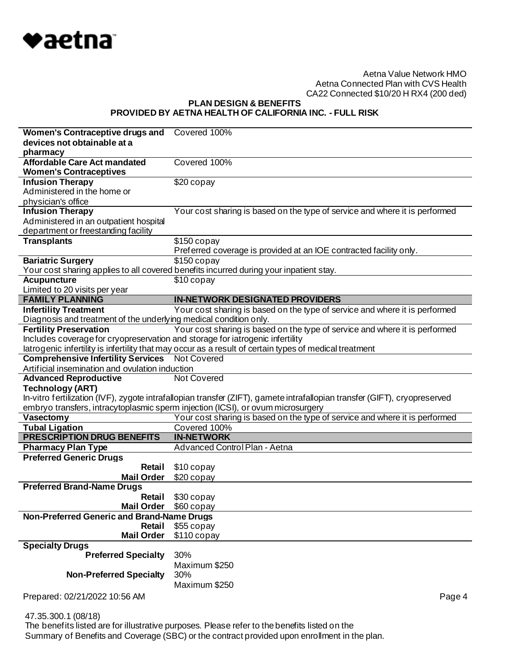

**PLAN DESIGN & BENEFITS PROVIDED BY AETNA HEALTH OF CALIFORNIA INC. - FULL RISK**

| Women's Contraceptive drugs and                                               | Covered 100%                                                                                                              |
|-------------------------------------------------------------------------------|---------------------------------------------------------------------------------------------------------------------------|
| devices not obtainable at a                                                   |                                                                                                                           |
| pharmacy                                                                      |                                                                                                                           |
| <b>Affordable Care Act mandated</b>                                           | Covered 100%                                                                                                              |
| <b>Women's Contraceptives</b>                                                 |                                                                                                                           |
| <b>Infusion Therapy</b>                                                       | \$20 copay                                                                                                                |
| Administered in the home or                                                   |                                                                                                                           |
| physician's office                                                            |                                                                                                                           |
| <b>Infusion Therapy</b>                                                       | Your cost sharing is based on the type of service and where it is performed                                               |
| Administered in an outpatient hospital                                        |                                                                                                                           |
| department or freestanding facility                                           |                                                                                                                           |
| <b>Transplants</b>                                                            | $$150$ copay<br>Preferred coverage is provided at an IOE contracted facility only.                                        |
| <b>Bariatric Surgery</b>                                                      | $$150$ copay                                                                                                              |
|                                                                               | Your cost sharing applies to all covered benefits incurred during your inpatient stay.                                    |
| <b>Acupuncture</b>                                                            | \$10 copay                                                                                                                |
| Limited to 20 visits per year                                                 |                                                                                                                           |
| <b>FAMILY PLANNING</b>                                                        | <b>IN-NETWORK DESIGNATED PROVIDERS</b>                                                                                    |
| <b>Infertility Treatment</b>                                                  | Your cost sharing is based on the type of service and where it is performed                                               |
| Diagnosis and treatment of the underlying medical condition only.             |                                                                                                                           |
| <b>Fertility Preservation</b>                                                 | Your cost sharing is based on the type of service and where it is performed                                               |
| Includes coverage for cryopreservation and storage for iatrogenic infertility |                                                                                                                           |
|                                                                               | latrogenic infertility is infertility that may occur as a result of certain types of medical treatment                    |
|                                                                               |                                                                                                                           |
| <b>Comprehensive Infertility Services</b> Not Covered                         |                                                                                                                           |
| Artificial insemination and ovulation induction                               |                                                                                                                           |
| <b>Advanced Reproductive</b>                                                  | Not Covered                                                                                                               |
| <b>Technology (ART)</b>                                                       |                                                                                                                           |
|                                                                               | In-vitro fertilization (IVF), zygote intrafallopian transfer (ZIFT), gamete intrafallopian transfer (GIFT), cryopreserved |
|                                                                               | embryo transfers, intracytoplasmic sperm injection (ICSI), or ovum microsurgery                                           |
| Vasectomy                                                                     | Your cost sharing is based on the type of service and where it is performed                                               |
| <b>Tubal Ligation</b>                                                         | Covered 100%                                                                                                              |
| <b>PRESCRIPTION DRUG BENEFITS</b>                                             | <b>IN-NETWORK</b>                                                                                                         |
| <b>Pharmacy Plan Type</b>                                                     | Advanced Control Plan - Aetna                                                                                             |
| <b>Preferred Generic Drugs</b>                                                |                                                                                                                           |
| Retail                                                                        | \$10 copay                                                                                                                |
| <b>Mail Order</b>                                                             | \$20 copay                                                                                                                |
| <b>Preferred Brand-Name Drugs</b>                                             |                                                                                                                           |
| Retail                                                                        | \$30 copay                                                                                                                |
| <b>Mail Order</b>                                                             | \$60 copay                                                                                                                |
| Non-Preferred Generic and Brand-Name Drugs                                    |                                                                                                                           |
| Retail<br><b>Mail Order</b>                                                   | \$55 copay<br>\$110 copay                                                                                                 |
| <b>Specialty Drugs</b>                                                        |                                                                                                                           |
| <b>Preferred Specialty</b>                                                    | 30%                                                                                                                       |
|                                                                               | Maximum \$250                                                                                                             |
| <b>Non-Preferred Specialty</b>                                                | 30%                                                                                                                       |
|                                                                               | Maximum \$250                                                                                                             |
| Prepared: 02/21/2022 10:56 AM                                                 | Page 4                                                                                                                    |

47.35.300.1 (08/18)

 The benefits listed are for illustrative purposes. Please refer to the benefits listed on the Summary of Benefits and Coverage (SBC) or the contract provided upon enrollment in the plan.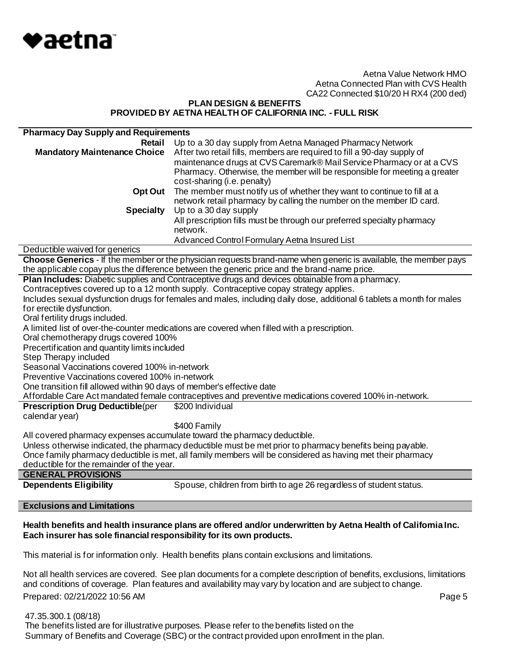

# **PLAN DESIGN & BENEFITS PROVIDED BY AETNA HEALTH OF CALIFORNIA INC. - FULL RISK**

| <b>Pharmacy Day Supply and Requirements</b>                           |                                                                                                                       |  |
|-----------------------------------------------------------------------|-----------------------------------------------------------------------------------------------------------------------|--|
| Retail                                                                | Up to a 30 day supply from Aetna Managed Pharmacy Network                                                             |  |
| <b>Mandatory Maintenance Choice</b>                                   | After two retail fills, members are required to fill a 90-day supply of                                               |  |
|                                                                       | maintenance drugs at CVS Caremark® Mail Service Pharmacy or at a CVS                                                  |  |
|                                                                       | Pharmacy. Otherwise, the member will be responsible for meeting a greater                                             |  |
|                                                                       | cost-sharing (i.e. penalty)                                                                                           |  |
| Opt Out                                                               | The member must notify us of whether they want to continue to fill at a                                               |  |
|                                                                       | network retail pharmacy by calling the number on the member ID card.                                                  |  |
| <b>Specialty</b>                                                      | Up to a 30 day supply                                                                                                 |  |
|                                                                       | All prescription fills must be through our preferred specialty pharmacy                                               |  |
|                                                                       | network.                                                                                                              |  |
|                                                                       | Advanced Control Formulary Aetna Insured List                                                                         |  |
| Deductible waived for generics                                        |                                                                                                                       |  |
|                                                                       | Choose Generics - If the member or the physician requests brand-name when generic is available, the member pays       |  |
|                                                                       | the applicable copay plus the difference between the generic price and the brand-name price.                          |  |
|                                                                       | Plan Includes: Diabetic supplies and Contraceptive drugs and devices obtainable from a pharmacy.                      |  |
|                                                                       | Contraceptives covered up to a 12 month supply. Contraceptive copay strategy applies.                                 |  |
|                                                                       | Includes sexual dysfunction drugs for females and males, including daily dose, additional 6 tablets a month for males |  |
| for erectile dysfunction.                                             |                                                                                                                       |  |
| Oral fertility drugs included.                                        |                                                                                                                       |  |
|                                                                       | A limited list of over-the-counter medications are covered when filled with a prescription.                           |  |
| Oral chemotherapy drugs covered 100%                                  |                                                                                                                       |  |
| Precertification and quantity limits included                         |                                                                                                                       |  |
| Step Therapy included                                                 |                                                                                                                       |  |
| Seasonal Vaccinations covered 100% in-network                         |                                                                                                                       |  |
| Preventive Vaccinations covered 100% in-network                       |                                                                                                                       |  |
|                                                                       |                                                                                                                       |  |
|                                                                       |                                                                                                                       |  |
| One transition fill allowed within 90 days of member's effective date | Affordable Care Act mandated female contraceptives and preventive medications covered 100% in-network.                |  |
| <b>Prescription Drug Deductible(per</b>                               | \$200 Individual                                                                                                      |  |
| calendar year)                                                        |                                                                                                                       |  |
|                                                                       | \$400 Family                                                                                                          |  |
|                                                                       | All covered pharmacy expenses accumulate toward the pharmacy deductible.                                              |  |
|                                                                       | Unless otherwise indicated, the pharmacy deductible must be met prior to pharmacy benefits being payable.             |  |
|                                                                       | Once family pharmacy deductible is met, all family members will be considered as having met their pharmacy            |  |
| deductible for the remainder of the year.                             |                                                                                                                       |  |
| <b>GENERAL PROVISIONS</b><br><b>Dependents Eligibility</b>            |                                                                                                                       |  |

#### **Exclusions and Limitations**

# **Health benefits and health insurance plans are offered and/or underwritten by Aetna Health of California Inc. Each insurer has sole financial responsibility for its own products.**

This material is for information only. Health benefits plans contain exclusions and limitations.

Prepared: 02/21/2022 10:56 AM **Page 5** Not all health services are covered. See plan documents for a complete description of benefits, exclusions, limitations and conditions of coverage. Plan features and availability may vary by location and are subject to change.

 47.35.300.1 (08/18) The benefits listed are for illustrative purposes. Please refer to the benefits listed on the Summary of Benefits and Coverage (SBC) or the contract provided upon enrollment in the plan.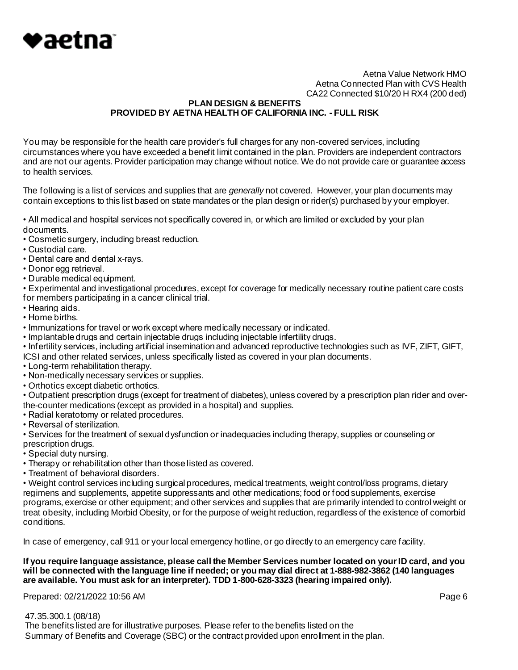

# **PLAN DESIGN & BENEFITS PROVIDED BY AETNA HEALTH OF CALIFORNIA INC. - FULL RISK**

You may be responsible for the health care provider's full charges for any non-covered services, including circumstances where you have exceeded a benefit limit contained in the plan. Providers are independent contractors and are not our agents. Provider participation may change without notice. We do not provide care or guarantee access to health services.

The following is a list of services and supplies that are *generally* not covered. However, your plan documents may contain exceptions to this list based on state mandates or the plan design or rider(s) purchased by your employer.

• All medical and hospital services not specifically covered in, or which are limited or excluded by your plan documents.

- Cosmetic surgery, including breast reduction.
- Custodial care.
- Dental care and dental x-rays.
- Donor egg retrieval.
- Durable medical equipment.

• Experimental and investigational procedures, except for coverage for medically necessary routine patient care costs for members participating in a cancer clinical trial.

- Hearing aids.
- Home births.
- Immunizations for travel or work except where medically necessary or indicated.
- Implantable drugs and certain injectable drugs including injectable infertility drugs.

• Infertility services, including artificial insemination and advanced reproductive technologies such as IVF, ZIFT, GIFT,

- ICSI and other related services, unless specifically listed as covered in your plan documents.
- Long-term rehabilitation therapy.
- Non-medically necessary services or supplies.
- Orthotics except diabetic orthotics.

• Outpatient prescription drugs (except for treatment of diabetes), unless covered by a prescription plan rider and overthe-counter medications (except as provided in a hospital) and supplies.

- Radial keratotomy or related procedures.
- Reversal of sterilization.

• Services for the treatment of sexual dysfunction or inadequacies including therapy, supplies or counseling or prescription drugs.

- Special duty nursing.
- Therapy or rehabilitation other than those listed as covered.
- Treatment of behavioral disorders.

• Weight control services including surgical procedures, medical treatments, weight control/loss programs, dietary regimens and supplements, appetite suppressants and other medications; food or food supplements, exercise programs, exercise or other equipment; and other services and supplies that are primarily intended to control weight or treat obesity, including Morbid Obesity, or for the purpose of weight reduction, regardless of the existence of comorbid conditions.

In case of emergency, call 911 or your local emergency hotline, or go directly to an emergency care facility.

# **If you require language assistance, please call the Member Services number located on your ID card, and you will be connected with the language line if needed; or you may dial direct at 1-888-982-3862 (140 languages are available. You must ask for an interpreter). TDD 1-800-628-3323 (hearing impaired only).**

Prepared: 02/21/2022 10:56 AM **Page 6** 

 47.35.300.1 (08/18) The benefits listed are for illustrative purposes. Please refer to the benefits listed on the Summary of Benefits and Coverage (SBC) or the contract provided upon enrollment in the plan.